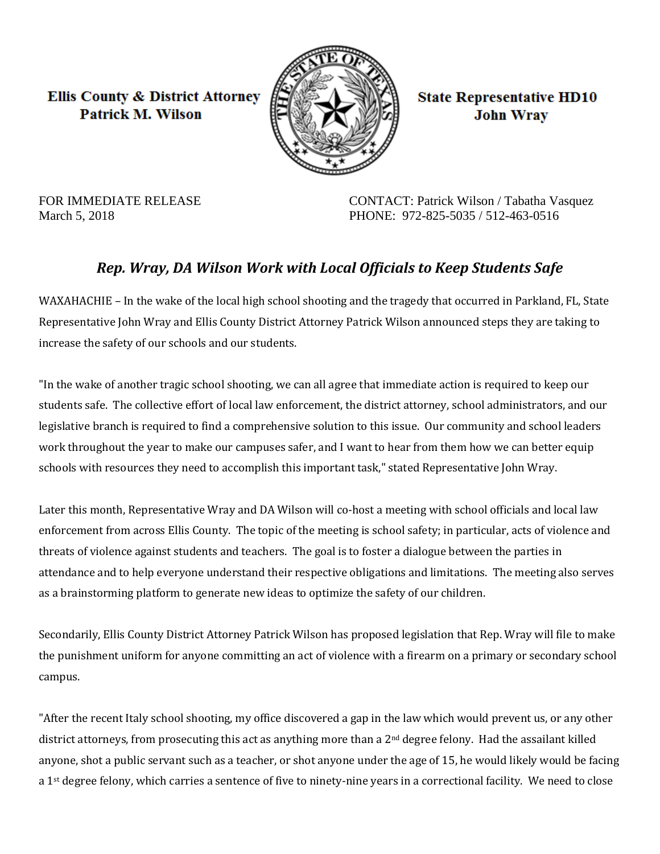**Ellis County & District Attorney Patrick M. Wilson** 



**State Representative HD10 John Wray** 

FOR IMMEDIATE RELEASE CONTACT: Patrick Wilson / Tabatha Vasquez March 5, 2018 PHONE: 972-825-5035 / 512-463-0516

## *Rep. Wray, DA Wilson Work with Local Officials to Keep Students Safe*

WAXAHACHIE – In the wake of the local high school shooting and the tragedy that occurred in Parkland, FL, State Representative John Wray and Ellis County District Attorney Patrick Wilson announced steps they are taking to increase the safety of our schools and our students.

"In the wake of another tragic school shooting, we can all agree that immediate action is required to keep our students safe. The collective effort of local law enforcement, the district attorney, school administrators, and our legislative branch is required to find a comprehensive solution to this issue. Our community and school leaders work throughout the year to make our campuses safer, and I want to hear from them how we can better equip schools with resources they need to accomplish this important task," stated Representative John Wray.

Later this month, Representative Wray and DA Wilson will co-host a meeting with school officials and local law enforcement from across Ellis County. The topic of the meeting is school safety; in particular, acts of violence and threats of violence against students and teachers. The goal is to foster a dialogue between the parties in attendance and to help everyone understand their respective obligations and limitations. The meeting also serves as a brainstorming platform to generate new ideas to optimize the safety of our children.

Secondarily, Ellis County District Attorney Patrick Wilson has proposed legislation that Rep. Wray will file to make the punishment uniform for anyone committing an act of violence with a firearm on a primary or secondary school campus.

"After the recent Italy school shooting, my office discovered a gap in the law which would prevent us, or any other district attorneys, from prosecuting this act as anything more than a  $2<sup>nd</sup>$  degree felony. Had the assailant killed anyone, shot a public servant such as a teacher, or shot anyone under the age of 15, he would likely would be facing a 1<sup>st</sup> degree felony, which carries a sentence of five to ninety-nine years in a correctional facility. We need to close